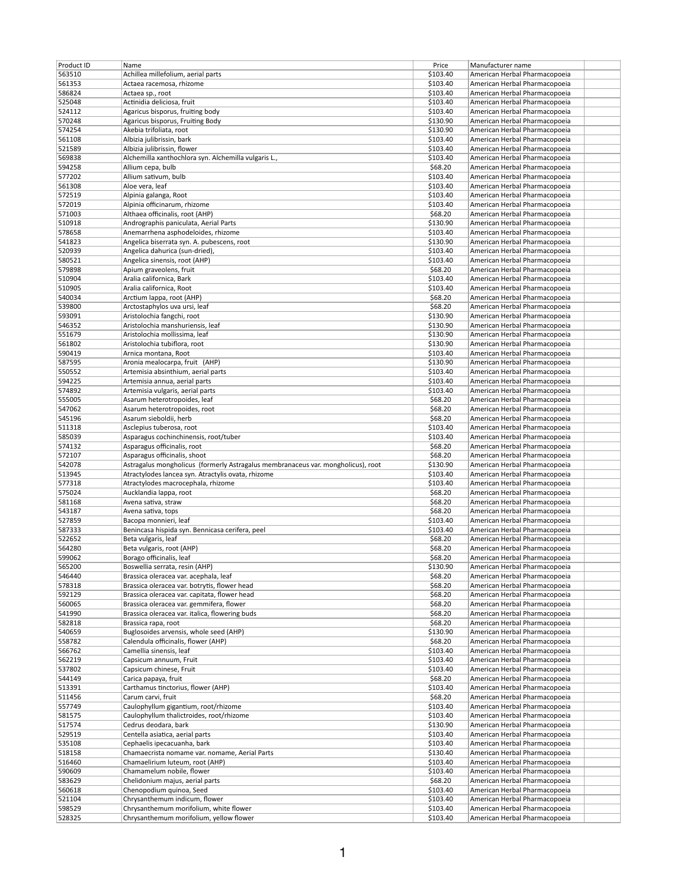| Product ID | Name                                                                             | Price    | Manufacturer name             |  |
|------------|----------------------------------------------------------------------------------|----------|-------------------------------|--|
|            |                                                                                  |          |                               |  |
| 563510     | Achillea millefolium, aerial parts                                               | \$103.40 | American Herbal Pharmacopoeia |  |
| 561353     | Actaea racemosa, rhizome                                                         | \$103.40 | American Herbal Pharmacopoeia |  |
| 586824     | Actaea sp., root                                                                 | \$103.40 | American Herbal Pharmacopoeia |  |
| 525048     | Actinidia deliciosa, fruit                                                       | \$103.40 | American Herbal Pharmacopoeia |  |
|            |                                                                                  |          |                               |  |
| 524112     | Agaricus bisporus, fruiting body                                                 | \$103.40 | American Herbal Pharmacopoeia |  |
| 570248     | Agaricus bisporus, Fruiting Body                                                 | \$130.90 | American Herbal Pharmacopoeia |  |
| 574254     | Akebia trifoliata, root                                                          | \$130.90 | American Herbal Pharmacopoeia |  |
| 561108     | Albizia julibrissin, bark                                                        | \$103.40 | American Herbal Pharmacopoeia |  |
| 521589     | Albizia julibrissin, flower                                                      | \$103.40 | American Herbal Pharmacopoeia |  |
|            |                                                                                  |          |                               |  |
| 569838     | Alchemilla xanthochlora syn. Alchemilla vulgaris L.,                             | \$103.40 | American Herbal Pharmacopoeia |  |
| 594258     | Allium cepa, bulb                                                                | \$68.20  | American Herbal Pharmacopoeia |  |
| 577202     | Allium sativum, bulb                                                             | \$103.40 | American Herbal Pharmacopoeia |  |
| 561308     | Aloe vera, leaf                                                                  | \$103.40 | American Herbal Pharmacopoeia |  |
|            |                                                                                  |          |                               |  |
| 572519     | Alpinia galanga, Root                                                            | \$103.40 | American Herbal Pharmacopoeia |  |
| 572019     | Alpinia officinarum, rhizome                                                     | \$103.40 | American Herbal Pharmacopoeia |  |
| 571003     | Althaea officinalis, root (AHP)                                                  | \$68.20  | American Herbal Pharmacopoeia |  |
| 510918     | Andrographis paniculata, Aerial Parts                                            | \$130.90 | American Herbal Pharmacopoeia |  |
| 578658     | Anemarrhena asphodeloides, rhizome                                               | \$103.40 | American Herbal Pharmacopoeia |  |
|            |                                                                                  |          |                               |  |
| 541823     | Angelica biserrata syn. A. pubescens, root                                       | \$130.90 | American Herbal Pharmacopoeia |  |
| 520939     | Angelica dahurica (sun-dried),                                                   | \$103.40 | American Herbal Pharmacopoeia |  |
| 580521     | Angelica sinensis, root (AHP)                                                    | \$103.40 | American Herbal Pharmacopoeia |  |
| 579898     | Apium graveolens, fruit                                                          | \$68.20  | American Herbal Pharmacopoeia |  |
| 510904     |                                                                                  | \$103.40 |                               |  |
|            | Aralia californica, Bark                                                         |          | American Herbal Pharmacopoeia |  |
| 510905     | Aralia californica, Root                                                         | \$103.40 | American Herbal Pharmacopoeia |  |
| 540034     | Arctium lappa, root (AHP)                                                        | \$68.20  | American Herbal Pharmacopoeia |  |
| 539800     | Arctostaphylos uva ursi, leaf                                                    | \$68.20  | American Herbal Pharmacopoeia |  |
| 593091     | Aristolochia fangchi, root                                                       | \$130.90 | American Herbal Pharmacopoeia |  |
|            |                                                                                  |          |                               |  |
| 546352     | Aristolochia manshuriensis, leaf                                                 | \$130.90 | American Herbal Pharmacopoeia |  |
| 551679     | Aristolochia mollissima, leaf                                                    | \$130.90 | American Herbal Pharmacopoeia |  |
| 561802     | Aristolochia tubiflora, root                                                     | \$130.90 | American Herbal Pharmacopoeia |  |
| 590419     | Arnica montana, Root                                                             | \$103.40 | American Herbal Pharmacopoeia |  |
|            |                                                                                  |          |                               |  |
| 587595     | Aronia mealocarpa, fruit (AHP)                                                   | \$130.90 | American Herbal Pharmacopoeia |  |
| 550552     | Artemisia absinthium, aerial parts                                               | \$103.40 | American Herbal Pharmacopoeia |  |
| 594225     | Artemisia annua, aerial parts                                                    | \$103.40 | American Herbal Pharmacopoeia |  |
| 574892     | Artemisia vulgaris, aerial parts                                                 | \$103.40 | American Herbal Pharmacopoeia |  |
|            |                                                                                  |          |                               |  |
| 555005     | Asarum heterotropoides, leaf                                                     | \$68.20  | American Herbal Pharmacopoeia |  |
| 547062     | Asarum heterotropoides, root                                                     | \$68.20  | American Herbal Pharmacopoeia |  |
| 545196     | Asarum sieboldii, herb                                                           | \$68.20  | American Herbal Pharmacopoeia |  |
| 511318     | Asclepius tuberosa, root                                                         | \$103.40 | American Herbal Pharmacopoeia |  |
|            |                                                                                  |          |                               |  |
| 585039     | Asparagus cochinchinensis, root/tuber                                            | \$103.40 | American Herbal Pharmacopoeia |  |
| 574132     | Asparagus officinalis, root                                                      | \$68.20  | American Herbal Pharmacopoeia |  |
| 572107     | Asparagus officinalis, shoot                                                     | \$68.20  | American Herbal Pharmacopoeia |  |
| 542078     | Astragalus mongholicus (formerly Astragalus membranaceus var. mongholicus), root | \$130.90 | American Herbal Pharmacopoeia |  |
| 513945     |                                                                                  | \$103.40 |                               |  |
|            | Atractylodes lancea syn. Atractylis ovata, rhizome                               |          | American Herbal Pharmacopoeia |  |
| 577318     | Atractylodes macrocephala, rhizome                                               | \$103.40 | American Herbal Pharmacopoeia |  |
| 575024     | Aucklandia lappa, root                                                           | \$68.20  | American Herbal Pharmacopoeia |  |
| 581168     | Avena sativa, straw                                                              | \$68.20  | American Herbal Pharmacopoeia |  |
| 543187     | Avena sativa, tops                                                               | \$68.20  | American Herbal Pharmacopoeia |  |
|            |                                                                                  |          |                               |  |
| 527859     | Bacopa monnieri, leaf                                                            | \$103.40 | American Herbal Pharmacopoeia |  |
| 587333     | Benincasa hispida syn. Bennicasa cerifera, peel                                  | \$103.40 | American Herbal Pharmacopoeia |  |
| 522652     | Beta vulgaris, leaf                                                              | \$68.20  | American Herbal Pharmacopoeia |  |
| 564280     | Beta vulgaris, root (AHP)                                                        | \$68.20  | American Herbal Pharmacopoeia |  |
|            |                                                                                  |          |                               |  |
| 599062     | Borago officinalis, leaf                                                         | \$68.20  | American Herbal Pharmacopoeia |  |
| 565200     | Boswellia serrata, resin (AHP)                                                   | \$130.90 | American Herbal Pharmacopoeia |  |
| 546440     | Brassica oleracea var. acephala, leaf                                            | \$68.20  | American Herbal Pharmacopoeia |  |
| 578318     | Brassica oleracea var. botrytis, flower head                                     | \$68.20  | American Herbal Pharmacopoeia |  |
| 592129     | Brassica oleracea var. capitata, flower head                                     | \$68.20  | American Herbal Pharmacopoeia |  |
|            |                                                                                  |          |                               |  |
| 560065     | Brassica oleracea var. gemmifera, flower                                         | \$68.20  | American Herbal Pharmacopoeia |  |
| 541990     | Brassica oleracea var. italica, flowering buds                                   | \$68.20  | American Herbal Pharmacopoeia |  |
| 582818     | Brassica rapa, root                                                              | \$68.20  | American Herbal Pharmacopoeia |  |
| 540659     | Buglosoides arvensis, whole seed (AHP)                                           | \$130.90 | American Herbal Pharmacopoeia |  |
|            |                                                                                  |          |                               |  |
| 558782     | Calendula officinalis, flower (AHP)                                              | \$68.20  | American Herbal Pharmacopoeia |  |
| 566762     | Camellia sinensis, leaf                                                          | \$103.40 | American Herbal Pharmacopoeia |  |
| 562219     | Capsicum annuum, Fruit                                                           | \$103.40 | American Herbal Pharmacopoeia |  |
| 537802     | Capsicum chinese, Fruit                                                          | \$103.40 | American Herbal Pharmacopoeia |  |
| 544149     | Carica papaya, fruit                                                             | \$68.20  | American Herbal Pharmacopoeia |  |
|            |                                                                                  |          |                               |  |
| 513391     | Carthamus tinctorius, flower (AHP)                                               | \$103.40 | American Herbal Pharmacopoeia |  |
| 511456     | Carum carvi, fruit                                                               | \$68.20  | American Herbal Pharmacopoeia |  |
| 557749     | Caulophyllum gigantium, root/rhizome                                             | \$103.40 | American Herbal Pharmacopoeia |  |
| 581575     | Caulophyllum thalictroides, root/rhizome                                         | \$103.40 | American Herbal Pharmacopoeia |  |
|            |                                                                                  |          |                               |  |
| 517574     | Cedrus deodara, bark                                                             | \$130.90 | American Herbal Pharmacopoeia |  |
| 529519     | Centella asiatica, aerial parts                                                  | \$103.40 | American Herbal Pharmacopoeia |  |
| 535108     | Cephaelis ipecacuanha, bark                                                      | \$103.40 | American Herbal Pharmacopoeia |  |
| 518158     | Chamaecrista nomame var. nomame, Aerial Parts                                    | \$130.40 | American Herbal Pharmacopoeia |  |
| 516460     | Chamaelirium luteum, root (AHP)                                                  | \$103.40 | American Herbal Pharmacopoeia |  |
|            |                                                                                  |          |                               |  |
| 590609     | Chamamelum nobile, flower                                                        | \$103.40 | American Herbal Pharmacopoeia |  |
| 583629     | Chelidonium majus, aerial parts                                                  | \$68.20  | American Herbal Pharmacopoeia |  |
| 560618     | Chenopodium quinoa, Seed                                                         | \$103.40 | American Herbal Pharmacopoeia |  |
| 521104     | Chrysanthemum indicum, flower                                                    | \$103.40 | American Herbal Pharmacopoeia |  |
|            |                                                                                  |          |                               |  |
| 598529     | Chrysanthemum morifolium, white flower                                           | \$103.40 | American Herbal Pharmacopoeia |  |
| 528325     | Chrysanthemum morifolium, yellow flower                                          | \$103.40 | American Herbal Pharmacopoeia |  |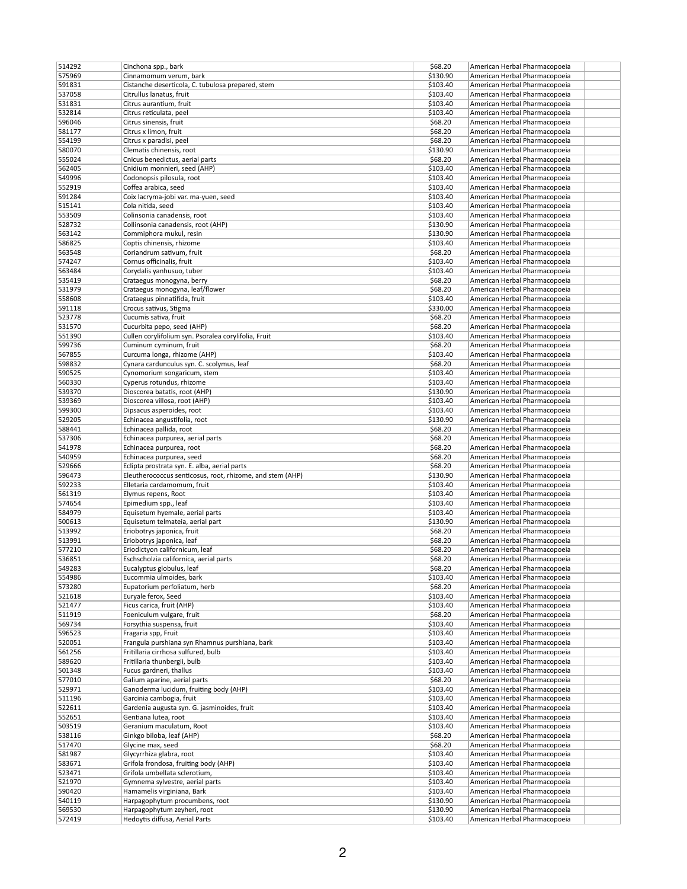| 514292           | Cinchona spp., bark                                           | \$68.20              | American Herbal Pharmacopoeia                                  |  |
|------------------|---------------------------------------------------------------|----------------------|----------------------------------------------------------------|--|
| 575969           | Cinnamomum verum, bark                                        | \$130.90             | American Herbal Pharmacopoeia                                  |  |
| 591831           | Cistanche deserticola, C. tubulosa prepared, stem             | \$103.40             | American Herbal Pharmacopoeia                                  |  |
| 537058           | Citrullus lanatus, fruit                                      | \$103.40             | American Herbal Pharmacopoeia                                  |  |
| 531831           | Citrus aurantium, fruit                                       | \$103.40             | American Herbal Pharmacopoeia                                  |  |
| 532814           | Citrus reticulata, peel                                       | \$103.40             | American Herbal Pharmacopoeia                                  |  |
| 596046           | Citrus sinensis, fruit                                        | \$68.20              | American Herbal Pharmacopoeia                                  |  |
| 581177           | Citrus x limon, fruit                                         | \$68.20              | American Herbal Pharmacopoeia                                  |  |
| 554199           | Citrus x paradisi, peel                                       | \$68.20              | American Herbal Pharmacopoeia                                  |  |
| 580070           | Clematis chinensis, root                                      | \$130.90             | American Herbal Pharmacopoeia                                  |  |
|                  |                                                               |                      |                                                                |  |
| 555024           | Cnicus benedictus, aerial parts                               | \$68.20              | American Herbal Pharmacopoeia                                  |  |
| 562405           | Cnidium monnieri, seed (AHP)                                  | \$103.40             | American Herbal Pharmacopoeia                                  |  |
| 549996           | Codonopsis pilosula, root                                     | \$103.40             | American Herbal Pharmacopoeia                                  |  |
| 552919           | Coffea arabica, seed                                          | \$103.40             | American Herbal Pharmacopoeia                                  |  |
| 591284           | Coix lacryma-jobi var. ma-yuen, seed                          | \$103.40             | American Herbal Pharmacopoeia                                  |  |
| 515141           | Cola nitida, seed                                             | \$103.40             | American Herbal Pharmacopoeia                                  |  |
| 553509           | Colinsonia canadensis, root                                   | \$103.40             | American Herbal Pharmacopoeia                                  |  |
| 528732           | Collinsonia canadensis, root (AHP)                            | \$130.90             | American Herbal Pharmacopoeia                                  |  |
| 563142           | Commiphora mukul, resin                                       | \$130.90             | American Herbal Pharmacopoeia                                  |  |
| 586825           | Coptis chinensis, rhizome                                     | \$103.40             | American Herbal Pharmacopoeia                                  |  |
| 563548           | Coriandrum sativum, fruit                                     | \$68.20              | American Herbal Pharmacopoeia                                  |  |
| 574247           | Cornus officinalis, fruit                                     | \$103.40             | American Herbal Pharmacopoeia                                  |  |
| 563484           | Corydalis yanhusuo, tuber                                     | \$103.40             | American Herbal Pharmacopoeia                                  |  |
| 535419           | Crataegus monogyna, berry                                     | \$68.20              | American Herbal Pharmacopoeia                                  |  |
| 531979           | Crataegus monogyna, leaf/flower                               | \$68.20              | American Herbal Pharmacopoeia                                  |  |
| 558608           | Crataegus pinnatifida, fruit                                  | \$103.40             | American Herbal Pharmacopoeia                                  |  |
| 591118           |                                                               | \$330.00             | American Herbal Pharmacopoeia                                  |  |
|                  | Crocus sativus, Stigma                                        |                      |                                                                |  |
| 523778           | Cucumis sativa, fruit                                         | \$68.20              | American Herbal Pharmacopoeia                                  |  |
| 531570           | Cucurbita pepo, seed (AHP)                                    | \$68.20              | American Herbal Pharmacopoeia                                  |  |
| 551390           | Cullen corylifolium syn. Psoralea corylifolia, Fruit          | \$103.40             | American Herbal Pharmacopoeia                                  |  |
| 599736           | Cuminum cyminum, fruit                                        | \$68.20              | American Herbal Pharmacopoeia                                  |  |
| 567855           | Curcuma longa, rhizome (AHP)                                  | \$103.40             | American Herbal Pharmacopoeia                                  |  |
| 598832           | Cynara cardunculus syn. C. scolymus, leaf                     | \$68.20              | American Herbal Pharmacopoeia                                  |  |
| 590525           | Cynomorium songaricum, stem                                   | \$103.40             | American Herbal Pharmacopoeia                                  |  |
| 560330           | Cyperus rotundus, rhizome                                     | \$103.40             | American Herbal Pharmacopoeia                                  |  |
| 539370           | Dioscorea batatis, root (AHP)                                 | \$130.90             | American Herbal Pharmacopoeia                                  |  |
| 539369           | Dioscorea villosa, root (AHP)                                 | \$103.40             | American Herbal Pharmacopoeia                                  |  |
| 599300           | Dipsacus asperoides, root                                     | \$103.40             | American Herbal Pharmacopoeia                                  |  |
| 529205           | Echinacea angustifolia, root                                  | \$130.90             | American Herbal Pharmacopoeia                                  |  |
| 588441           | Echinacea pallida, root                                       | \$68.20              | American Herbal Pharmacopoeia                                  |  |
| 537306           | Echinacea purpurea, aerial parts                              | \$68.20              | American Herbal Pharmacopoeia                                  |  |
| 541978           | Echinacea purpurea, root                                      | \$68.20              | American Herbal Pharmacopoeia                                  |  |
| 540959           |                                                               |                      |                                                                |  |
|                  | Echinacea purpurea, seed                                      | \$68.20              | American Herbal Pharmacopoeia                                  |  |
| 529666           | Eclipta prostrata syn. E. alba, aerial parts                  | \$68.20              | American Herbal Pharmacopoeia                                  |  |
| 596473           | Eleutherococcus senticosus, root, rhizome, and stem (AHP)     | \$130.90             |                                                                |  |
|                  |                                                               |                      | American Herbal Pharmacopoeia                                  |  |
| 592233           | Elletaria cardamomum, fruit                                   | \$103.40             | American Herbal Pharmacopoeia                                  |  |
| 561319           | Elymus repens, Root                                           | \$103.40             | American Herbal Pharmacopoeia                                  |  |
| 574654           | Epimedium spp., leaf                                          | \$103.40             | American Herbal Pharmacopoeia                                  |  |
| 584979           | Equisetum hyemale, aerial parts                               | \$103.40             | American Herbal Pharmacopoeia                                  |  |
| 500613           | Equisetum telmateia, aerial part                              | \$130.90             | American Herbal Pharmacopoeia                                  |  |
| 513992           | Eriobotrys japonica, fruit                                    | \$68.20              | American Herbal Pharmacopoeia                                  |  |
| 513991           | Eriobotrys japonica, leaf                                     | \$68.20              | American Herbal Pharmacopoeia                                  |  |
| 577210           | Eriodictyon californicum, leaf                                | \$68.20              | American Herbal Pharmacopoeia                                  |  |
| 536851           | Eschscholzia californica, aerial parts                        | \$68.20              | American Herbal Pharmacopoeia                                  |  |
|                  |                                                               |                      |                                                                |  |
| 549283<br>554986 | Eucalyptus globulus, leaf<br>Eucommia ulmoides, bark          | \$68.20<br>\$103.40  | American Herbal Pharmacopoeia<br>American Herbal Pharmacopoeia |  |
| 573280           | Eupatorium perfoliatum, herb                                  | \$68.20              | American Herbal Pharmacopoeia                                  |  |
|                  | Euryale ferox, Seed                                           |                      | American Herbal Pharmacopoeia                                  |  |
| 521618           |                                                               | \$103.40             |                                                                |  |
| 521477           | Ficus carica, fruit (AHP)                                     | \$103.40             | American Herbal Pharmacopoeia                                  |  |
| 511919           | Foeniculum vulgare, fruit                                     | \$68.20              | American Herbal Pharmacopoeia                                  |  |
| 569734           | Forsythia suspensa, fruit                                     | \$103.40             | American Herbal Pharmacopoeia                                  |  |
| 596523           | Fragaria spp, Fruit                                           | \$103.40             | American Herbal Pharmacopoeia                                  |  |
| 520051           | Frangula purshiana syn Rhamnus purshiana, bark                | \$103.40             | American Herbal Pharmacopoeia                                  |  |
| 561256           | Fritillaria cirrhosa sulfured, bulb                           | \$103.40             | American Herbal Pharmacopoeia                                  |  |
| 589620           | Fritillaria thunbergii, bulb                                  | \$103.40             | American Herbal Pharmacopoeia                                  |  |
| 501348           | Fucus gardneri, thallus                                       | \$103.40             | American Herbal Pharmacopoeia                                  |  |
| 577010           | Galium aparine, aerial parts                                  | \$68.20              | American Herbal Pharmacopoeia                                  |  |
| 529971           | Ganoderma lucidum, fruiting body (AHP)                        | \$103.40             | American Herbal Pharmacopoeia                                  |  |
| 511196           | Garcinia cambogia, fruit                                      | \$103.40             | American Herbal Pharmacopoeia                                  |  |
| 522611           | Gardenia augusta syn. G. jasminoides, fruit                   | \$103.40             | American Herbal Pharmacopoeia                                  |  |
| 552651           | Gentiana lutea, root                                          | \$103.40             | American Herbal Pharmacopoeia                                  |  |
| 503519           | Geranium maculatum, Root                                      | \$103.40             | American Herbal Pharmacopoeia                                  |  |
| 538116           | Ginkgo biloba, leaf (AHP)                                     | \$68.20              | American Herbal Pharmacopoeia                                  |  |
| 517470           | Glycine max, seed                                             | \$68.20              | American Herbal Pharmacopoeia                                  |  |
|                  |                                                               | \$103.40             |                                                                |  |
| 581987           | Glycyrrhiza glabra, root                                      |                      | American Herbal Pharmacopoeia                                  |  |
| 583671           | Grifola frondosa, fruiting body (AHP)                         | \$103.40             | American Herbal Pharmacopoeia                                  |  |
| 523471           | Grifola umbellata sclerotium,                                 | \$103.40             | American Herbal Pharmacopoeia                                  |  |
| 521970           | Gymnema sylvestre, aerial parts                               | \$103.40             | American Herbal Pharmacopoeia                                  |  |
| 590420           | Hamamelis virginiana, Bark                                    | \$103.40             | American Herbal Pharmacopoeia                                  |  |
| 540119           | Harpagophytum procumbens, root                                | \$130.90             | American Herbal Pharmacopoeia                                  |  |
| 569530<br>572419 | Harpagophytum zeyheri, root<br>Hedoytis diffusa, Aerial Parts | \$130.90<br>\$103.40 | American Herbal Pharmacopoeia<br>American Herbal Pharmacopoeia |  |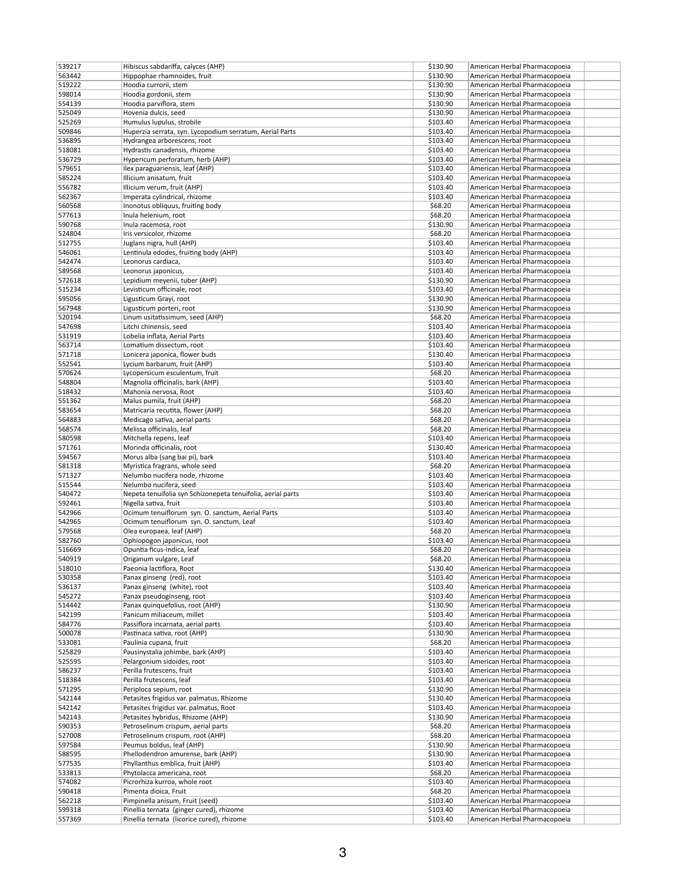| 539217           | Hibiscus sabdariffa, calyces (AHP)                                                     | \$130.90             | American Herbal Pharmacopoeia                                  |
|------------------|----------------------------------------------------------------------------------------|----------------------|----------------------------------------------------------------|
| 563442           | Hippophae rhamnoides, fruit                                                            | \$130.90             | American Herbal Pharmacopoeia                                  |
| 519222           | Hoodia currorii, stem                                                                  | \$130.90             | American Herbal Pharmacopoeia                                  |
| 598014           | Hoodia gordonii, stem                                                                  | \$130.90             | American Herbal Pharmacopoeia                                  |
| 554139           | Hoodia parviflora, stem                                                                | \$130.90             | American Herbal Pharmacopoeia                                  |
| 525049           | Hovenia dulcis, seed                                                                   | \$130.90             | American Herbal Pharmacopoeia                                  |
| 525269           | Humulus lupulus, strobile                                                              | \$103.40             | American Herbal Pharmacopoeia                                  |
| 509846           | Huperzia serrata, syn. Lycopodium serratum, Aerial Parts                               | \$103.40             | American Herbal Pharmacopoeia                                  |
| 536895           | Hydrangea arborescens, root                                                            | \$103.40             | American Herbal Pharmacopoeia                                  |
| 518081           | Hydrastis canadensis, rhizome                                                          | \$103.40             | American Herbal Pharmacopoeia                                  |
| 536729           | Hypericum perforatum, herb (AHP)                                                       | \$103.40             | American Herbal Pharmacopoeia                                  |
| 579651           | Ilex paraguariensis, leaf (AHP)                                                        | \$103.40             | American Herbal Pharmacopoeia                                  |
| 585224           | Illicium anisatum, fruit                                                               | \$103.40             | American Herbal Pharmacopoeia                                  |
| 556782           | Illicium verum, fruit (AHP)                                                            | \$103.40             | American Herbal Pharmacopoeia                                  |
| 562367           | Imperata cylindrical, rhizome                                                          | \$103.40             | American Herbal Pharmacopoeia                                  |
| 560568           | Inonotus obliquus, fruiting body                                                       | \$68.20              | American Herbal Pharmacopoeia                                  |
| 577613           | Inula helenium, root                                                                   | \$68.20              | American Herbal Pharmacopoeia                                  |
| 590768           | Inula racemosa, root                                                                   | \$130.90             | American Herbal Pharmacopoeia                                  |
| 524804           | Iris versicolor, rhizome                                                               | \$68.20              | American Herbal Pharmacopoeia                                  |
| 512755           | Juglans nigra, hull (AHP)                                                              | \$103.40             | American Herbal Pharmacopoeia                                  |
| 546061           | Lentinula edodes, fruiting body (AHP)                                                  | \$103.40             | American Herbal Pharmacopoeia                                  |
| 542474<br>589568 | Leonorus cardiaca,                                                                     | \$103.40             | American Herbal Pharmacopoeia                                  |
|                  | Leonorus japonicus,                                                                    | \$103.40             | American Herbal Pharmacopoeia<br>American Herbal Pharmacopoeia |
| 572618<br>515234 | Lepidium meyenii, tuber (AHP)<br>Levisticum officinale, root                           | \$130.90<br>\$103.40 | American Herbal Pharmacopoeia                                  |
| 595056           | Ligusticum Grayi, root                                                                 | \$130.90             | American Herbal Pharmacopoeia                                  |
| 567948           | Ligusticum porteri, root                                                               | \$130.90             | American Herbal Pharmacopoeia                                  |
| 520194           | Linum usitatissimum, seed (AHP)                                                        | \$68.20              | American Herbal Pharmacopoeia                                  |
| 547698           | Litchi chinensis, seed                                                                 | \$103.40             | American Herbal Pharmacopoeia                                  |
| 531919           | Lobelia inflata, Aerial Parts                                                          | \$103.40             | American Herbal Pharmacopoeia                                  |
| 563714           | Lomatium dissectum, root                                                               | \$103.40             | American Herbal Pharmacopoeia                                  |
| 571718           | Lonicera japonica, flower buds                                                         | \$130.40             | American Herbal Pharmacopoeia                                  |
| 552541           | Lycium barbarum, fruit (AHP)                                                           | \$103.40             | American Herbal Pharmacopoeia                                  |
| 570624           | Lycopersicum esculentum, fruit                                                         | \$68.20              | American Herbal Pharmacopoeia                                  |
| 548804           | Magnolia officinalis, bark (AHP)                                                       | \$103.40             | American Herbal Pharmacopoeia                                  |
| 518432           | Mahonia nervosa, Root                                                                  | \$103.40             | American Herbal Pharmacopoeia                                  |
| 551362           | Malus pumila, fruit (AHP)                                                              | \$68.20              | American Herbal Pharmacopoeia                                  |
| 583654           | Matricaria recutita, flower (AHP)                                                      | \$68.20              | American Herbal Pharmacopoeia                                  |
| 564883           | Medicago sativa, aerial parts                                                          | \$68.20              | American Herbal Pharmacopoeia                                  |
| 568574           | Melissa officinalis, leaf                                                              | \$68.20              | American Herbal Pharmacopoeia                                  |
| 580598           | Mitchella repens, leaf                                                                 | \$103.40             | American Herbal Pharmacopoeia                                  |
| 571761           | Morinda officinalis, root                                                              | \$130.40             | American Herbal Pharmacopoeia                                  |
| 594567           | Morus alba (sang bai pi), bark                                                         | \$103.40             | American Herbal Pharmacopoeia                                  |
| 581318           | Myristica fragrans, whole seed                                                         | \$68.20              | American Herbal Pharmacopoeia                                  |
| 571327           | Nelumbo nucifera node, rhizome                                                         | \$103.40             | American Herbal Pharmacopoeia                                  |
| 515544           | Nelumbo nucifera, seed                                                                 | \$103.40             | American Herbal Pharmacopoeia                                  |
| 540472           | Nepeta tenuifolia syn Schizonepeta tenuifolia, aerial parts                            | \$103.40             | American Herbal Pharmacopoeia                                  |
| 592461           | Nigella sativa, fruit                                                                  | \$103.40             | American Herbal Pharmacopoeia                                  |
| 542966           | Ocimum tenuiflorum syn. O. sanctum, Aerial Parts                                       | \$103.40             | American Herbal Pharmacopoeia                                  |
| 542965           | Ocimum tenuiflorum syn. O. sanctum, Leaf                                               | \$103.40             | American Herbal Pharmacopoeia                                  |
| 579568           | Olea europaea, leaf (AHP)                                                              | \$68.20              | American Herbal Pharmacopoeia                                  |
| 582760           | Ophiopogon japonicus, root                                                             | \$103.40             | American Herbal Pharmacopoeia                                  |
| 516669           | Opuntia ficus-indica, leaf                                                             | \$68.20              | American Herbal Pharmacopoeia                                  |
| 540919           | Origanum vulgare, Leaf                                                                 | \$68.20              | American Herbal Pharmacopoeia                                  |
| 518010           | Paeonia lactiflora, Root                                                               | \$130.40             | American Herbal Pharmacopoeia                                  |
| 530358           | Panax ginseng (red), root                                                              | \$103.40             | American Herbal Pharmacopoeia                                  |
| 536137           | Panax ginseng (white), root                                                            | \$103.40             | American Herbal Pharmacopoeia                                  |
| 545272           | Panax pseudoginseng, root                                                              | \$103.40             | American Herbal Pharmacopoeia                                  |
| 514442           | Panax quinquefolius, root (AHP)<br>Panicum miliaceum, millet                           | \$130.90<br>\$103.40 | American Herbal Pharmacopoeia                                  |
| 542199<br>584776 | Passiflora incarnata, aerial parts                                                     | \$103.40             | American Herbal Pharmacopoeia<br>American Herbal Pharmacopoeia |
| 500078           | Pastinaca sativa, root (AHP)                                                           | \$130.90             | American Herbal Pharmacopoeia                                  |
| 533081           | Paulinia cupana, fruit                                                                 | \$68.20              | American Herbal Pharmacopoeia                                  |
| 525829           | Pausinystalia johimbe, bark (AHP)                                                      | \$103.40             | American Herbal Pharmacopoeia                                  |
| 525595           | Pelargonium sidoides, root                                                             | \$103.40             | American Herbal Pharmacopoeia                                  |
| 586237           | Perilla frutescens, fruit                                                              | \$103.40             | American Herbal Pharmacopoeia                                  |
| 518384           | Perilla frutescens, leaf                                                               | \$103.40             | American Herbal Pharmacopoeia                                  |
| 571295           | Periploca sepium, root                                                                 | \$130.90             | American Herbal Pharmacopoeia                                  |
| 542144           | Petasites frigidus var. palmatus, Rhizome                                              | \$130.40             | American Herbal Pharmacopoeia                                  |
| 542142           | Petasites frigidus var. palmatus, Root                                                 | \$103.40             | American Herbal Pharmacopoeia                                  |
| 542143           | Petasites hybridus, Rhizome (AHP)                                                      | \$130.90             | American Herbal Pharmacopoeia                                  |
| 590353           | Petroselinum crispum, aerial parts                                                     | \$68.20              | American Herbal Pharmacopoeia                                  |
| 527008           | Petroselinum crispum, root (AHP)                                                       | \$68.20              | American Herbal Pharmacopoeia                                  |
| 597584           | Peumus boldus, leaf (AHP)                                                              | \$130.90             | American Herbal Pharmacopoeia                                  |
| 588595           |                                                                                        |                      | American Herbal Pharmacopoeia                                  |
|                  | Phellodendron amurense, bark (AHP)                                                     | \$130.90             |                                                                |
| 577535           | Phyllanthus emblica, fruit (AHP)                                                       | \$103.40             | American Herbal Pharmacopoeia                                  |
| 533813           | Phytolacca americana, root                                                             | \$68.20              | American Herbal Pharmacopoeia                                  |
| 574082           | Picrorhiza kurroa, whole root                                                          | \$103.40             | American Herbal Pharmacopoeia                                  |
| 590418           | Pimenta dioica, Fruit                                                                  | \$68.20              | American Herbal Pharmacopoeia                                  |
| 562218           | Pimpinella anisum, Fruit (seed)                                                        | \$103.40             | American Herbal Pharmacopoeia                                  |
| 599318<br>557369 | Pinellia ternata (ginger cured), rhizome<br>Pinellia ternata (licorice cured), rhizome | \$103.40<br>\$103.40 | American Herbal Pharmacopoeia<br>American Herbal Pharmacopoeia |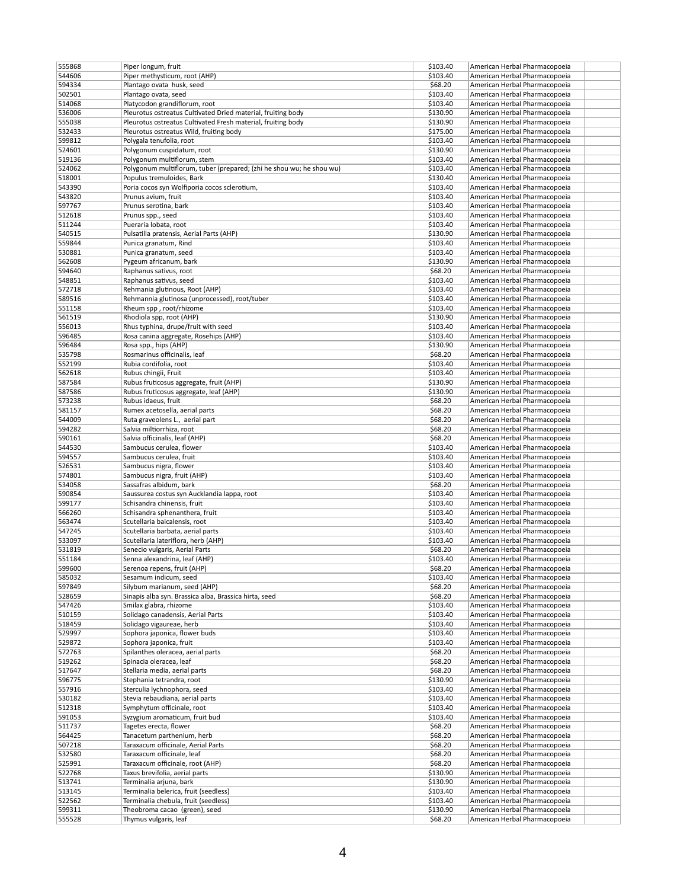| 555868           | Piper longum, fruit                                                                   | \$103.40             | American Herbal Pharmacopoeia                                  |  |
|------------------|---------------------------------------------------------------------------------------|----------------------|----------------------------------------------------------------|--|
| 544606           | Piper methysticum, root (AHP)                                                         | \$103.40             | American Herbal Pharmacopoeia                                  |  |
| 594334           | Plantago ovata husk, seed                                                             | \$68.20              | American Herbal Pharmacopoeia                                  |  |
| 502501           | Plantago ovata, seed                                                                  | \$103.40             | American Herbal Pharmacopoeia                                  |  |
| 514068           | Platycodon grandiflorum, root                                                         | \$103.40             | American Herbal Pharmacopoeia                                  |  |
| 536006           | Pleurotus ostreatus Cultivated Dried material, fruiting body                          | \$130.90             | American Herbal Pharmacopoeia                                  |  |
| 555038           | Pleurotus ostreatus Cultivated Fresh material, fruiting body                          | \$130.90             | American Herbal Pharmacopoeia                                  |  |
| 532433           | Pleurotus ostreatus Wild, fruiting body                                               | \$175.00             | American Herbal Pharmacopoeia                                  |  |
| 599812           | Polygala tenufolia, root                                                              | \$103.40             | American Herbal Pharmacopoeia                                  |  |
| 524601           | Polygonum cuspidatum, root                                                            | \$130.90             | American Herbal Pharmacopoeia                                  |  |
| 519136           | Polygonum multiflorum, stem                                                           | \$103.40             | American Herbal Pharmacopoeia                                  |  |
| 524062           | Polygonum multiflorum, tuber (prepared; (zhi he shou wu; he shou wu)                  | \$103.40             | American Herbal Pharmacopoeia                                  |  |
| 518001           | Populus tremuloides, Bark                                                             | \$130.40             | American Herbal Pharmacopoeia                                  |  |
| 543390           | Poria cocos syn Wolfiporia cocos sclerotium,                                          | \$103.40             | American Herbal Pharmacopoeia                                  |  |
| 543820           | Prunus avium, fruit                                                                   | \$103.40             | American Herbal Pharmacopoeia                                  |  |
| 597767           | Prunus serotina, bark                                                                 | \$103.40             | American Herbal Pharmacopoeia                                  |  |
| 512618           | Prunus spp., seed                                                                     | \$103.40             | American Herbal Pharmacopoeia                                  |  |
| 511244           | Pueraria lobata, root                                                                 | \$103.40             | American Herbal Pharmacopoeia                                  |  |
| 540515           | Pulsatilla pratensis, Aerial Parts (AHP)                                              | \$130.90             | American Herbal Pharmacopoeia                                  |  |
| 559844           | Punica granatum, Rind                                                                 | \$103.40             | American Herbal Pharmacopoeia                                  |  |
| 530881           | Punica granatum, seed                                                                 | \$103.40             | American Herbal Pharmacopoeia                                  |  |
| 562608<br>594640 | Pygeum africanum, bark                                                                | \$130.90<br>\$68.20  | American Herbal Pharmacopoeia                                  |  |
|                  | Raphanus sativus, root                                                                |                      | American Herbal Pharmacopoeia<br>American Herbal Pharmacopoeia |  |
| 548851<br>572718 | Raphanus sativus, seed<br>Rehmania glutinous, Root (AHP)                              | \$103.40<br>\$103.40 | American Herbal Pharmacopoeia                                  |  |
| 589516           | Rehmannia glutinosa (unprocessed), root/tuber                                         | \$103.40             | American Herbal Pharmacopoeia                                  |  |
| 551158           | Rheum spp, root/rhizome                                                               | \$103.40             | American Herbal Pharmacopoeia                                  |  |
| 561519           | Rhodiola spp, root (AHP)                                                              | \$130.90             | American Herbal Pharmacopoeia                                  |  |
| 556013           | Rhus typhina, drupe/fruit with seed                                                   | \$103.40             | American Herbal Pharmacopoeia                                  |  |
| 596485           | Rosa canina aggregate, Rosehips (AHP)                                                 | \$103.40             | American Herbal Pharmacopoeia                                  |  |
| 596484           | Rosa spp., hips (AHP)                                                                 | \$130.90             | American Herbal Pharmacopoeia                                  |  |
| 535798           | Rosmarinus officinalis, leaf                                                          | \$68.20              | American Herbal Pharmacopoeia                                  |  |
| 552199           | Rubia cordifolia, root                                                                | \$103.40             | American Herbal Pharmacopoeia                                  |  |
| 562618           | Rubus chingii, Fruit                                                                  | \$103.40             | American Herbal Pharmacopoeia                                  |  |
| 587584           | Rubus fruticosus aggregate, fruit (AHP)                                               | \$130.90             | American Herbal Pharmacopoeia                                  |  |
| 587586           | Rubus fruticosus aggregate, leaf (AHP)                                                | \$130.90             | American Herbal Pharmacopoeia                                  |  |
| 573238           | Rubus idaeus, fruit                                                                   | \$68.20              | American Herbal Pharmacopoeia                                  |  |
| 581157           | Rumex acetosella, aerial parts                                                        | \$68.20              | American Herbal Pharmacopoeia                                  |  |
| 544009           | Ruta graveolens L., aerial part                                                       | \$68.20              | American Herbal Pharmacopoeia                                  |  |
| 594282           | Salvia miltiorrhiza, root                                                             | \$68.20              | American Herbal Pharmacopoeia                                  |  |
| 590161           | Salvia officinalis, leaf (AHP)                                                        | \$68.20              | American Herbal Pharmacopoeia                                  |  |
| 544530           | Sambucus cerulea, flower                                                              | \$103.40             | American Herbal Pharmacopoeia                                  |  |
| 594557           | Sambucus cerulea, fruit                                                               | \$103.40             | American Herbal Pharmacopoeia                                  |  |
| 526531           | Sambucus nigra, flower                                                                | \$103.40             | American Herbal Pharmacopoeia                                  |  |
| 574801           | Sambucus nigra, fruit (AHP)                                                           | \$103.40             | American Herbal Pharmacopoeia                                  |  |
| 534058           | Sassafras albidum, bark                                                               | \$68.20              | American Herbal Pharmacopoeia                                  |  |
| 590854           | Saussurea costus syn Aucklandia lappa, root                                           | \$103.40             | American Herbal Pharmacopoeia                                  |  |
| 599177           | Schisandra chinensis, fruit                                                           | \$103.40             | American Herbal Pharmacopoeia                                  |  |
| 566260           | Schisandra sphenanthera, fruit                                                        | \$103.40             | American Herbal Pharmacopoeia                                  |  |
| 563474           | Scutellaria baicalensis, root                                                         | \$103.40             | American Herbal Pharmacopoeia                                  |  |
| 547245           | Scutellaria barbata, aerial parts                                                     | \$103.40             | American Herbal Pharmacopoeia                                  |  |
| 533097           | Scutellaria lateriflora, herb (AHP)                                                   | \$103.40             | American Herbal Pharmacopoeia                                  |  |
| 531819           | Senecio vulgaris, Aerial Parts                                                        | \$68.20              | American Herbal Pharmacopoeia                                  |  |
| 551184           | Senna alexandrina, leaf (AHP)                                                         | \$103.40             | American Herbal Pharmacopoeia                                  |  |
| 599600           | Serenoa repens, fruit (AHP)                                                           | \$68.20              | American Herbal Pharmacopoeia                                  |  |
| 585032           | Sesamum indicum, seed                                                                 | \$103.40             | American Herbal Pharmacopoeia                                  |  |
| 597849<br>528659 | Silybum marianum, seed (AHP)<br>Sinapis alba syn. Brassica alba, Brassica hirta, seed | \$68.20<br>\$68.20   | American Herbal Pharmacopoeia<br>American Herbal Pharmacopoeia |  |
| 547426           | Smilax glabra, rhizome                                                                | \$103.40             | American Herbal Pharmacopoeia                                  |  |
| 510159           | Solidago canadensis, Aerial Parts                                                     | \$103.40             | American Herbal Pharmacopoeia                                  |  |
| 518459           | Solidago vigaureae, herb                                                              | \$103.40             | American Herbal Pharmacopoeia                                  |  |
| 529997           | Sophora japonica, flower buds                                                         | \$103.40             | American Herbal Pharmacopoeia                                  |  |
| 529872           | Sophora japonica, fruit                                                               | \$103.40             | American Herbal Pharmacopoeia                                  |  |
| 572763           | Spilanthes oleracea, aerial parts                                                     | \$68.20              | American Herbal Pharmacopoeia                                  |  |
| 519262           | Spinacia oleracea, leaf                                                               | \$68.20              | American Herbal Pharmacopoeia                                  |  |
| 517647           | Stellaria media, aerial parts                                                         | \$68.20              | American Herbal Pharmacopoeia                                  |  |
| 596775           | Stephania tetrandra, root                                                             | \$130.90             | American Herbal Pharmacopoeia                                  |  |
| 557916           | Sterculia lychnophora, seed                                                           | \$103.40             | American Herbal Pharmacopoeia                                  |  |
| 530182           | Stevia rebaudiana, aerial parts                                                       | \$103.40             | American Herbal Pharmacopoeia                                  |  |
| 512318           | Symphytum officinale, root                                                            | \$103.40             | American Herbal Pharmacopoeia                                  |  |
| 591053           | Syzygium aromaticum, fruit bud                                                        | \$103.40             | American Herbal Pharmacopoeia                                  |  |
| 511737           | Tagetes erecta, flower                                                                | \$68.20              | American Herbal Pharmacopoeia                                  |  |
| 564425           | Tanacetum parthenium, herb                                                            | \$68.20              | American Herbal Pharmacopoeia                                  |  |
| 507218           | Taraxacum officinale, Aerial Parts                                                    | \$68.20              | American Herbal Pharmacopoeia                                  |  |
| 532580           | Taraxacum officinale, leaf                                                            | \$68.20              | American Herbal Pharmacopoeia                                  |  |
| 525991           | Taraxacum officinale, root (AHP)                                                      | \$68.20              | American Herbal Pharmacopoeia                                  |  |
| 522768           | Taxus brevifolia, aerial parts                                                        | \$130.90             | American Herbal Pharmacopoeia                                  |  |
| 513741           | Terminalia arjuna, bark                                                               | \$130.90             | American Herbal Pharmacopoeia                                  |  |
| 513145           | Terminalia belerica, fruit (seedless)                                                 | \$103.40             | American Herbal Pharmacopoeia                                  |  |
| 522562           | Terminalia chebula, fruit (seedless)                                                  | \$103.40             | American Herbal Pharmacopoeia                                  |  |
| 599311           | Theobroma cacao (green), seed                                                         | \$130.90             | American Herbal Pharmacopoeia                                  |  |
| 555528           | Thymus vulgaris, leaf                                                                 | \$68.20              | American Herbal Pharmacopoeia                                  |  |